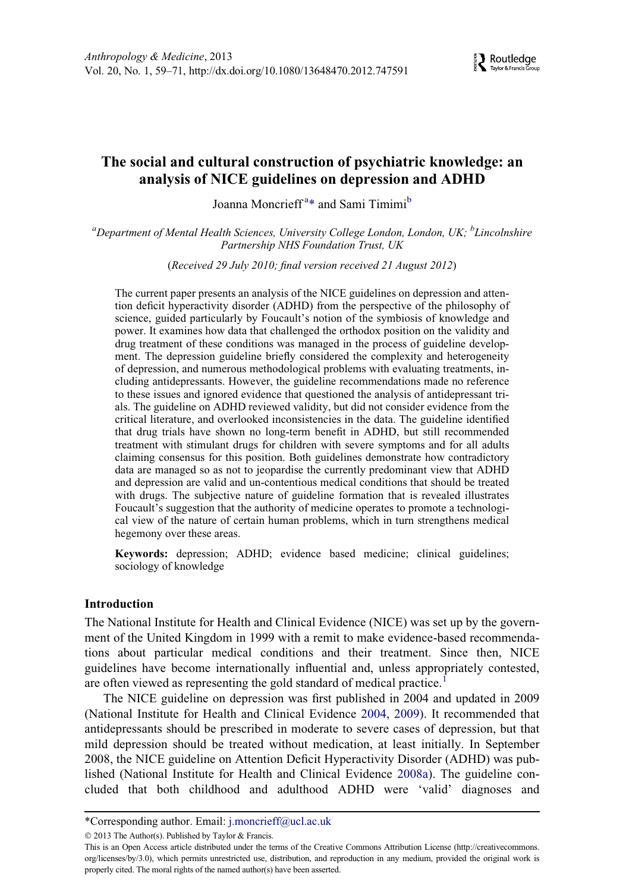

# The social and cultural construction of psychiatric knowledge: an analysis of NICE guidelines on depression and ADHD

Jo[a](#page-0-0)nna Moncrieff<sup>a[\\*](#page-0-1)</sup> and Sami Timimi<sup>[b](#page-0-0)</sup>

<span id="page-0-0"></span><sup>a</sup>Department of Mental Health Sciences, University College London, London, UK; <sup>b</sup>Lincolnshire Partnership NHS Foundation Trust, UK

(Received 29 July 2010; final version received 21 August 2012)

The current paper presents an analysis of the NICE guidelines on depression and attention deficit hyperactivity disorder (ADHD) from the perspective of the philosophy of science, guided particularly by Foucault's notion of the symbiosis of knowledge and power. It examines how data that challenged the orthodox position on the validity and drug treatment of these conditions was managed in the process of guideline development. The depression guideline briefly considered the complexity and heterogeneity of depression, and numerous methodological problems with evaluating treatments, including antidepressants. However, the guideline recommendations made no reference to these issues and ignored evidence that questioned the analysis of antidepressant trials. The guideline on ADHD reviewed validity, but did not consider evidence from the critical literature, and overlooked inconsistencies in the data. The guideline identified that drug trials have shown no long-term benefit in ADHD, but still recommended treatment with stimulant drugs for children with severe symptoms and for all adults claiming consensus for this position. Both guidelines demonstrate how contradictory data are managed so as not to jeopardise the currently predominant view that ADHD and depression are valid and un-contentious medical conditions that should be treated with drugs. The subjective nature of guideline formation that is revealed illustrates Foucault's suggestion that the authority of medicine operates to promote a technological view of the nature of certain human problems, which in turn strengthens medical hegemony over these areas.

Keywords: depression; ADHD; evidence based medicine; clinical guidelines; sociology of knowledge

#### Introduction

The National Institute for Health and Clinical Evidence (NICE) was set up by the government of the United Kingdom in 1999 with a remit to make evidence-based recommendations about particular medical conditions and their treatment. Since then, NICE guidelines have become internationally influential and, unless appropriately contested, are often viewed as representing the gold standard of medical practice.<sup>[1](#page-9-0)</sup>

The NICE guideline on depression was first published in 2004 and updated in 2009 (National Institute for Health and Clinical Evidence [2004,](#page-11-0) [2009\)](#page-11-1). It recommended that antidepressants should be prescribed in moderate to severe cases of depression, but that mild depression should be treated without medication, at least initially. In September 2008, the NICE guideline on Attention Deficit Hyperactivity Disorder (ADHD) was published (National Institute for Health and Clinical Evidence [2008a\)](#page-11-2). The guideline concluded that both childhood and adulthood ADHD were 'valid' diagnoses and

<span id="page-0-1"></span><sup>\*</sup>Corresponding author. Email: [j.moncrieff@ucl.ac.uk](mailto:j.moncrieff@ucl.ac.uk)

2013 The Author(s). Published by Taylor & Francis.

This is an Open Access article distributed under the terms of the Creative Commons Attribution License [\(http://creativecommons.](http://www.creativecommons.org/licenses/by/3.0) [org/licenses/by/3.0](http://www.creativecommons.org/licenses/by/3.0)), which permits unrestricted use, distribution, and reproduction in any medium, provided the original work is properly cited. The moral rights of the named author(s) have been asserted.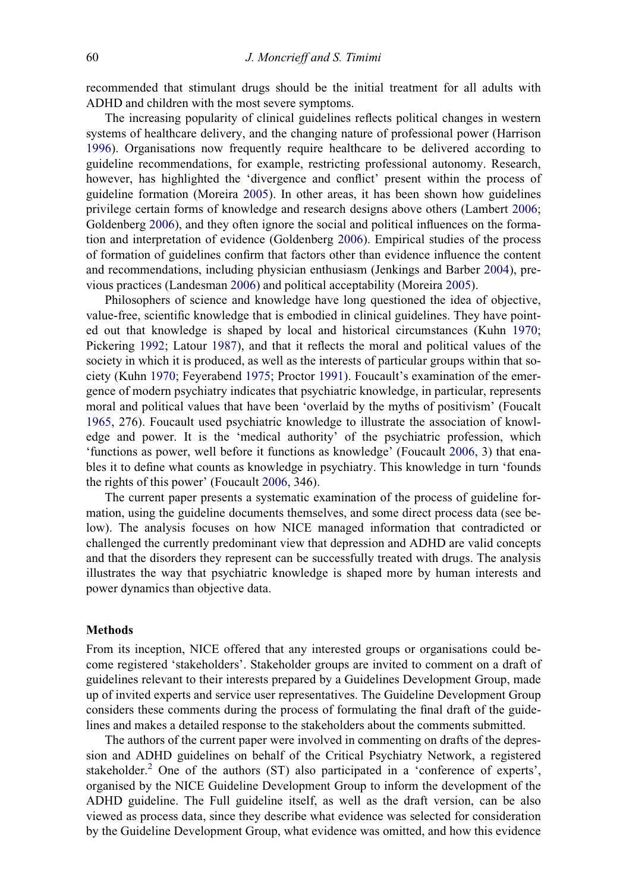recommended that stimulant drugs should be the initial treatment for all adults with ADHD and children with the most severe symptoms.

The increasing popularity of clinical guidelines reflects political changes in western systems of healthcare delivery, and the changing nature of professional power (Harrison [1996\)](#page-10-0). Organisations now frequently require healthcare to be delivered according to guideline recommendations, for example, restricting professional autonomy. Research, however, has highlighted the 'divergence and conflict' present within the process of guideline formation (Moreira [2005\)](#page-11-3). In other areas, it has been shown how guidelines privilege certain forms of knowledge and research designs above others (Lambert [2006;](#page-11-4) Goldenberg [2006\)](#page-10-1), and they often ignore the social and political influences on the formation and interpretation of evidence (Goldenberg [2006](#page-10-1)). Empirical studies of the process of formation of guidelines confirm that factors other than evidence influence the content and recommendations, including physician enthusiasm (Jenkings and Barber [2004\)](#page-10-2), previous practices (Landesman [2006\)](#page-11-5) and political acceptability (Moreira [2005](#page-11-3)).

Philosophers of science and knowledge have long questioned the idea of objective, value-free, scientific knowledge that is embodied in clinical guidelines. They have pointed out that knowledge is shaped by local and historical circumstances (Kuhn [1970;](#page-11-6) Pickering [1992;](#page-11-7) Latour [1987\)](#page-11-8), and that it reflects the moral and political values of the society in which it is produced, as well as the interests of particular groups within that society (Kuhn [1970](#page-11-6); Feyerabend [1975](#page-10-3); Proctor [1991](#page-11-9)). Foucault's examination of the emergence of modern psychiatry indicates that psychiatric knowledge, in particular, represents moral and political values that have been 'overlaid by the myths of positivism' (Foucalt [1965,](#page-10-4) 276). Foucault used psychiatric knowledge to illustrate the association of knowledge and power. It is the 'medical authority' of the psychiatric profession, which 'functions as power, well before it functions as knowledge' (Foucault [2006](#page-10-5), 3) that enables it to define what counts as knowledge in psychiatry. This knowledge in turn 'founds the rights of this power' (Foucault [2006,](#page-10-5) 346).

The current paper presents a systematic examination of the process of guideline formation, using the guideline documents themselves, and some direct process data (see below). The analysis focuses on how NICE managed information that contradicted or challenged the currently predominant view that depression and ADHD are valid concepts and that the disorders they represent can be successfully treated with drugs. The analysis illustrates the way that psychiatric knowledge is shaped more by human interests and power dynamics than objective data.

#### Methods

From its inception, NICE offered that any interested groups or organisations could become registered 'stakeholders'. Stakeholder groups are invited to comment on a draft of guidelines relevant to their interests prepared by a Guidelines Development Group, made up of invited experts and service user representatives. The Guideline Development Group considers these comments during the process of formulating the final draft of the guidelines and makes a detailed response to the stakeholders about the comments submitted.

The authors of the current paper were involved in commenting on drafts of the depression and ADHD guidelines on behalf of the Critical Psychiatry Network, a registered stakeholder.<sup>[2](#page-9-1)</sup> One of the authors (ST) also participated in a 'conference of experts', organised by the NICE Guideline Development Group to inform the development of the ADHD guideline. The Full guideline itself, as well as the draft version, can be also viewed as process data, since they describe what evidence was selected for consideration by the Guideline Development Group, what evidence was omitted, and how this evidence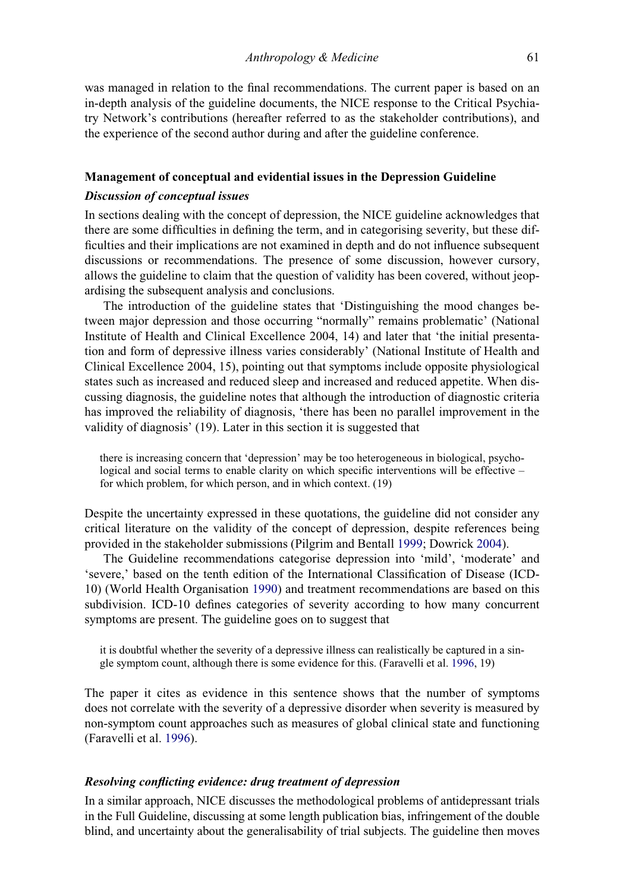was managed in relation to the final recommendations. The current paper is based on an in-depth analysis of the guideline documents, the NICE response to the Critical Psychiatry Network's contributions (hereafter referred to as the stakeholder contributions), and the experience of the second author during and after the guideline conference.

### Management of conceptual and evidential issues in the Depression Guideline

### Discussion of conceptual issues

In sections dealing with the concept of depression, the NICE guideline acknowledges that there are some difficulties in defining the term, and in categorising severity, but these difficulties and their implications are not examined in depth and do not influence subsequent discussions or recommendations. The presence of some discussion, however cursory, allows the guideline to claim that the question of validity has been covered, without jeopardising the subsequent analysis and conclusions.

The introduction of the guideline states that 'Distinguishing the mood changes between major depression and those occurring "normally" remains problematic' (National Institute of Health and Clinical Excellence 2004, 14) and later that 'the initial presentation and form of depressive illness varies considerably' (National Institute of Health and Clinical Excellence 2004, 15), pointing out that symptoms include opposite physiological states such as increased and reduced sleep and increased and reduced appetite. When discussing diagnosis, the guideline notes that although the introduction of diagnostic criteria has improved the reliability of diagnosis, 'there has been no parallel improvement in the validity of diagnosis' (19). Later in this section it is suggested that

there is increasing concern that 'depression' may be too heterogeneous in biological, psychological and social terms to enable clarity on which specific interventions will be effective – for which problem, for which person, and in which context. (19)

Despite the uncertainty expressed in these quotations, the guideline did not consider any critical literature on the validity of the concept of depression, despite references being provided in the stakeholder submissions (Pilgrim and Bentall [1999](#page-11-10); Dowrick [2004\)](#page-10-6).

The Guideline recommendations categorise depression into 'mild', 'moderate' and 'severe,' based on the tenth edition of the International Classification of Disease (ICD-10) (World Health Organisation [1990\)](#page-12-0) and treatment recommendations are based on this subdivision. ICD-10 defines categories of severity according to how many concurrent symptoms are present. The guideline goes on to suggest that

it is doubtful whether the severity of a depressive illness can realistically be captured in a single symptom count, although there is some evidence for this. (Faravelli et al. [1996,](#page-10-7) 19)

The paper it cites as evidence in this sentence shows that the number of symptoms does not correlate with the severity of a depressive disorder when severity is measured by non-symptom count approaches such as measures of global clinical state and functioning (Faravelli et al. [1996\)](#page-10-7).

### Resolving conflicting evidence: drug treatment of depression

In a similar approach, NICE discusses the methodological problems of antidepressant trials in the Full Guideline, discussing at some length publication bias, infringement of the double blind, and uncertainty about the generalisability of trial subjects. The guideline then moves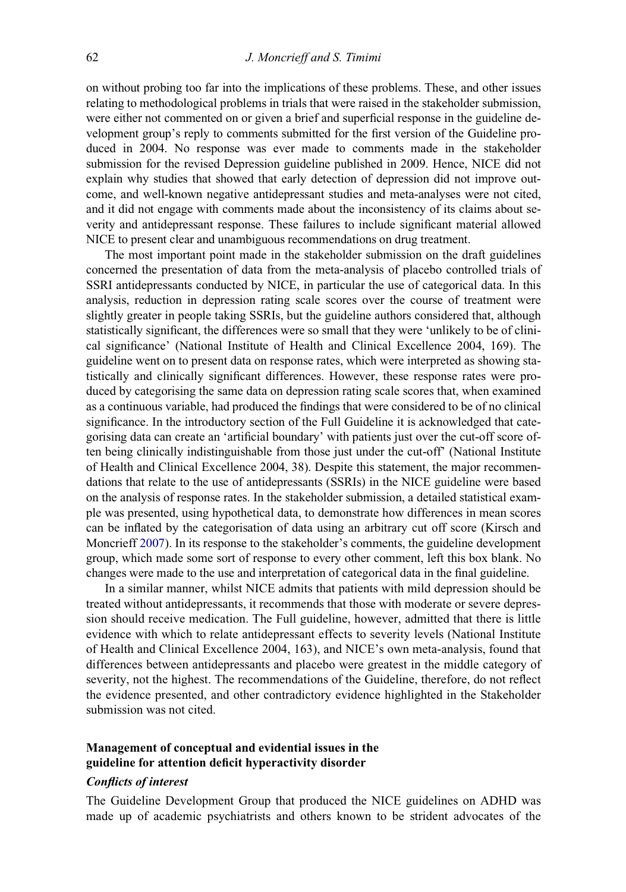on without probing too far into the implications of these problems. These, and other issues relating to methodological problems in trials that were raised in the stakeholder submission, were either not commented on or given a brief and superficial response in the guideline development group's reply to comments submitted for the first version of the Guideline produced in 2004. No response was ever made to comments made in the stakeholder submission for the revised Depression guideline published in 2009. Hence, NICE did not explain why studies that showed that early detection of depression did not improve outcome, and well-known negative antidepressant studies and meta-analyses were not cited, and it did not engage with comments made about the inconsistency of its claims about severity and antidepressant response. These failures to include significant material allowed NICE to present clear and unambiguous recommendations on drug treatment.

The most important point made in the stakeholder submission on the draft guidelines concerned the presentation of data from the meta-analysis of placebo controlled trials of SSRI antidepressants conducted by NICE, in particular the use of categorical data. In this analysis, reduction in depression rating scale scores over the course of treatment were slightly greater in people taking SSRIs, but the guideline authors considered that, although statistically significant, the differences were so small that they were 'unlikely to be of clinical significance' (National Institute of Health and Clinical Excellence 2004, 169). The guideline went on to present data on response rates, which were interpreted as showing statistically and clinically significant differences. However, these response rates were produced by categorising the same data on depression rating scale scores that, when examined as a continuous variable, had produced the findings that were considered to be of no clinical significance. In the introductory section of the Full Guideline it is acknowledged that categorising data can create an 'artificial boundary' with patients just over the cut-off score often being clinically indistinguishable from those just under the cut-off' (National Institute of Health and Clinical Excellence 2004, 38). Despite this statement, the major recommendations that relate to the use of antidepressants (SSRIs) in the NICE guideline were based on the analysis of response rates. In the stakeholder submission, a detailed statistical example was presented, using hypothetical data, to demonstrate how differences in mean scores can be inflated by the categorisation of data using an arbitrary cut off score (Kirsch and Moncrieff [2007\)](#page-11-11). In its response to the stakeholder's comments, the guideline development group, which made some sort of response to every other comment, left this box blank. No changes were made to the use and interpretation of categorical data in the final guideline.

In a similar manner, whilst NICE admits that patients with mild depression should be treated without antidepressants, it recommends that those with moderate or severe depression should receive medication. The Full guideline, however, admitted that there is little evidence with which to relate antidepressant effects to severity levels (National Institute of Health and Clinical Excellence 2004, 163), and NICE's own meta-analysis, found that differences between antidepressants and placebo were greatest in the middle category of severity, not the highest. The recommendations of the Guideline, therefore, do not reflect the evidence presented, and other contradictory evidence highlighted in the Stakeholder submission was not cited.

# Management of conceptual and evidential issues in the guideline for attention deficit hyperactivity disorder

### Conflicts of interest

The Guideline Development Group that produced the NICE guidelines on ADHD was made up of academic psychiatrists and others known to be strident advocates of the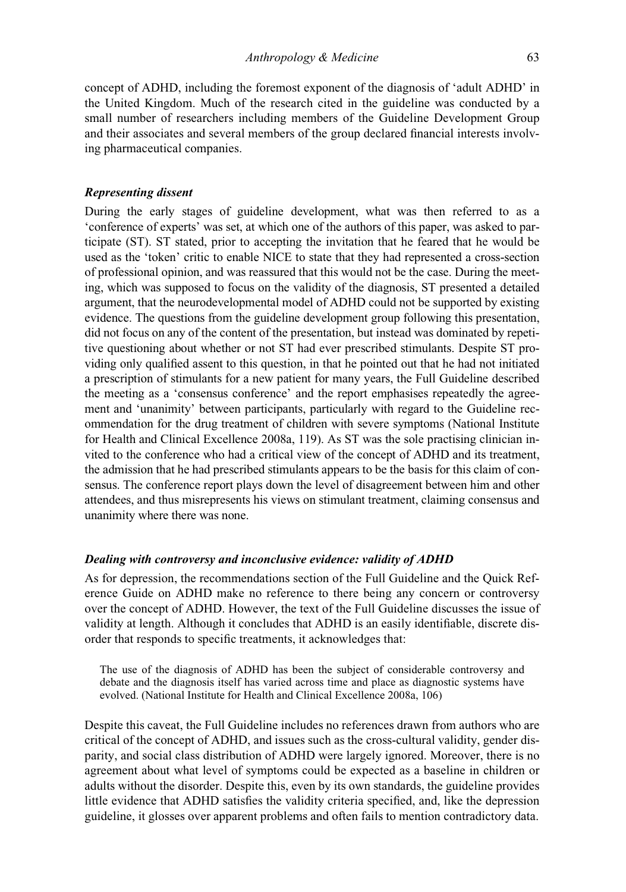concept of ADHD, including the foremost exponent of the diagnosis of 'adult ADHD' in the United Kingdom. Much of the research cited in the guideline was conducted by a small number of researchers including members of the Guideline Development Group and their associates and several members of the group declared financial interests involving pharmaceutical companies.

# Representing dissent

During the early stages of guideline development, what was then referred to as a 'conference of experts' was set, at which one of the authors of this paper, was asked to participate (ST). ST stated, prior to accepting the invitation that he feared that he would be used as the 'token' critic to enable NICE to state that they had represented a cross-section of professional opinion, and was reassured that this would not be the case. During the meeting, which was supposed to focus on the validity of the diagnosis, ST presented a detailed argument, that the neurodevelopmental model of ADHD could not be supported by existing evidence. The questions from the guideline development group following this presentation, did not focus on any of the content of the presentation, but instead was dominated by repetitive questioning about whether or not ST had ever prescribed stimulants. Despite ST providing only qualified assent to this question, in that he pointed out that he had not initiated a prescription of stimulants for a new patient for many years, the Full Guideline described the meeting as a 'consensus conference' and the report emphasises repeatedly the agreement and 'unanimity' between participants, particularly with regard to the Guideline recommendation for the drug treatment of children with severe symptoms (National Institute for Health and Clinical Excellence 2008a, 119). As ST was the sole practising clinician invited to the conference who had a critical view of the concept of ADHD and its treatment, the admission that he had prescribed stimulants appears to be the basis for this claim of consensus. The conference report plays down the level of disagreement between him and other attendees, and thus misrepresents his views on stimulant treatment, claiming consensus and unanimity where there was none.

#### Dealing with controversy and inconclusive evidence: validity of ADHD

As for depression, the recommendations section of the Full Guideline and the Quick Reference Guide on ADHD make no reference to there being any concern or controversy over the concept of ADHD. However, the text of the Full Guideline discusses the issue of validity at length. Although it concludes that ADHD is an easily identifiable, discrete disorder that responds to specific treatments, it acknowledges that:

The use of the diagnosis of ADHD has been the subject of considerable controversy and debate and the diagnosis itself has varied across time and place as diagnostic systems have evolved. (National Institute for Health and Clinical Excellence 2008a, 106)

Despite this caveat, the Full Guideline includes no references drawn from authors who are critical of the concept of ADHD, and issues such as the cross-cultural validity, gender disparity, and social class distribution of ADHD were largely ignored. Moreover, there is no agreement about what level of symptoms could be expected as a baseline in children or adults without the disorder. Despite this, even by its own standards, the guideline provides little evidence that ADHD satisfies the validity criteria specified, and, like the depression guideline, it glosses over apparent problems and often fails to mention contradictory data.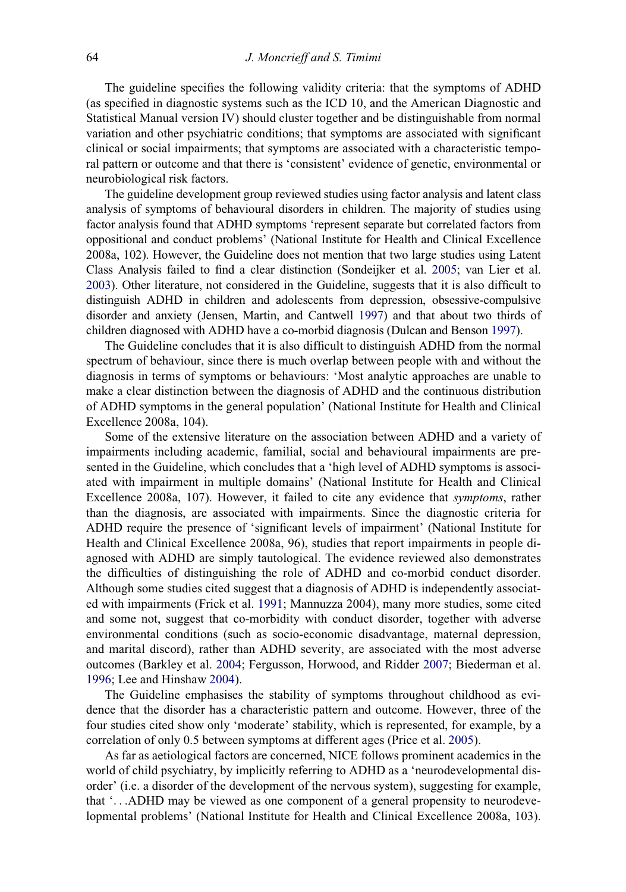The guideline specifies the following validity criteria: that the symptoms of ADHD (as specified in diagnostic systems such as the ICD 10, and the American Diagnostic and Statistical Manual version IV) should cluster together and be distinguishable from normal variation and other psychiatric conditions; that symptoms are associated with significant clinical or social impairments; that symptoms are associated with a characteristic temporal pattern or outcome and that there is 'consistent' evidence of genetic, environmental or neurobiological risk factors.

The guideline development group reviewed studies using factor analysis and latent class analysis of symptoms of behavioural disorders in children. The majority of studies using factor analysis found that ADHD symptoms 'represent separate but correlated factors from oppositional and conduct problems' (National Institute for Health and Clinical Excellence 2008a, 102). However, the Guideline does not mention that two large studies using Latent Class Analysis failed to find a clear distinction (Sondeijker et al. [2005](#page-12-1); van Lier et al. [2003](#page-12-2)). Other literature, not considered in the Guideline, suggests that it is also difficult to distinguish ADHD in children and adolescents from depression, obsessive-compulsive disorder and anxiety (Jensen, Martin, and Cantwell [1997](#page-10-8)) and that about two thirds of children diagnosed with ADHD have a co-morbid diagnosis (Dulcan and Benson [1997\)](#page-10-9).

The Guideline concludes that it is also difficult to distinguish ADHD from the normal spectrum of behaviour, since there is much overlap between people with and without the diagnosis in terms of symptoms or behaviours: 'Most analytic approaches are unable to make a clear distinction between the diagnosis of ADHD and the continuous distribution of ADHD symptoms in the general population' (National Institute for Health and Clinical Excellence 2008a, 104).

Some of the extensive literature on the association between ADHD and a variety of impairments including academic, familial, social and behavioural impairments are presented in the Guideline, which concludes that a 'high level of ADHD symptoms is associated with impairment in multiple domains' (National Institute for Health and Clinical Excellence 2008a, 107). However, it failed to cite any evidence that symptoms, rather than the diagnosis, are associated with impairments. Since the diagnostic criteria for ADHD require the presence of 'significant levels of impairment' (National Institute for Health and Clinical Excellence 2008a, 96), studies that report impairments in people diagnosed with ADHD are simply tautological. The evidence reviewed also demonstrates the difficulties of distinguishing the role of ADHD and co-morbid conduct disorder. Although some studies cited suggest that a diagnosis of ADHD is independently associated with impairments (Frick et al. [1991](#page-10-10); Mannuzza 2004), many more studies, some cited and some not, suggest that co-morbidity with conduct disorder, together with adverse environmental conditions (such as socio-economic disadvantage, maternal depression, and marital discord), rather than ADHD severity, are associated with the most adverse outcomes (Barkley et al. [2004](#page-10-11); Fergusson, Horwood, and Ridder [2007;](#page-10-12) Biederman et al. [1996;](#page-10-13) Lee and Hinshaw [2004](#page-11-12)).

The Guideline emphasises the stability of symptoms throughout childhood as evidence that the disorder has a characteristic pattern and outcome. However, three of the four studies cited show only 'moderate' stability, which is represented, for example, by a correlation of only 0.5 between symptoms at different ages (Price et al. [2005\)](#page-11-13).

As far as aetiological factors are concerned, NICE follows prominent academics in the world of child psychiatry, by implicitly referring to ADHD as a 'neurodevelopmental disorder' (i.e. a disorder of the development of the nervous system), suggesting for example, that '...ADHD may be viewed as one component of a general propensity to neurodevelopmental problems' (National Institute for Health and Clinical Excellence 2008a, 103).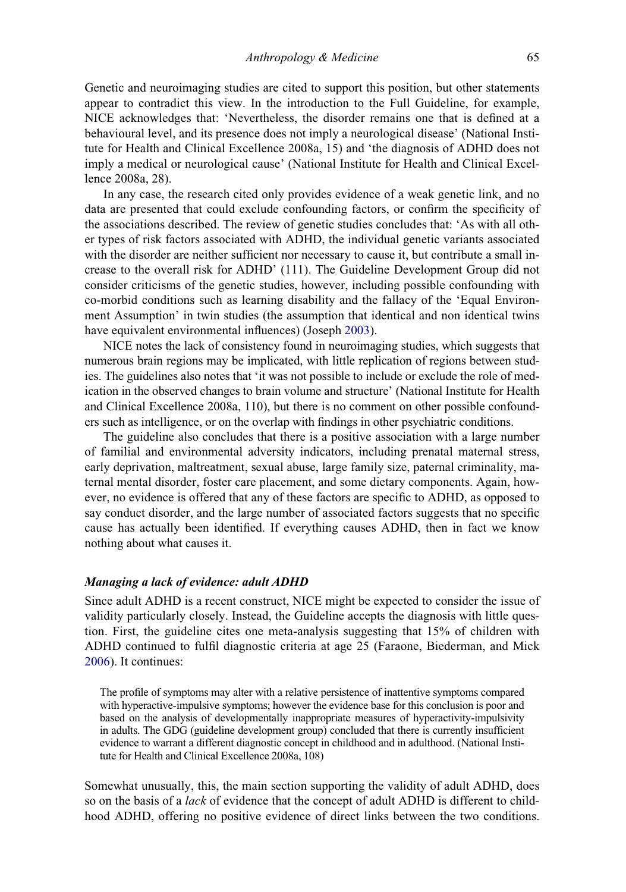Genetic and neuroimaging studies are cited to support this position, but other statements appear to contradict this view. In the introduction to the Full Guideline, for example, NICE acknowledges that: 'Nevertheless, the disorder remains one that is defined at a behavioural level, and its presence does not imply a neurological disease' (National Institute for Health and Clinical Excellence 2008a, 15) and 'the diagnosis of ADHD does not imply a medical or neurological cause' (National Institute for Health and Clinical Excellence 2008a, 28).

In any case, the research cited only provides evidence of a weak genetic link, and no data are presented that could exclude confounding factors, or confirm the specificity of the associations described. The review of genetic studies concludes that: 'As with all other types of risk factors associated with ADHD, the individual genetic variants associated with the disorder are neither sufficient nor necessary to cause it, but contribute a small increase to the overall risk for ADHD' (111). The Guideline Development Group did not consider criticisms of the genetic studies, however, including possible confounding with co-morbid conditions such as learning disability and the fallacy of the 'Equal Environment Assumption' in twin studies (the assumption that identical and non identical twins have equivalent environmental influences) (Joseph [2003\)](#page-10-14).

NICE notes the lack of consistency found in neuroimaging studies, which suggests that numerous brain regions may be implicated, with little replication of regions between studies. The guidelines also notes that 'it was not possible to include or exclude the role of medication in the observed changes to brain volume and structure' (National Institute for Health and Clinical Excellence 2008a, 110), but there is no comment on other possible confounders such as intelligence, or on the overlap with findings in other psychiatric conditions.

The guideline also concludes that there is a positive association with a large number of familial and environmental adversity indicators, including prenatal maternal stress, early deprivation, maltreatment, sexual abuse, large family size, paternal criminality, maternal mental disorder, foster care placement, and some dietary components. Again, however, no evidence is offered that any of these factors are specific to ADHD, as opposed to say conduct disorder, and the large number of associated factors suggests that no specific cause has actually been identified. If everything causes ADHD, then in fact we know nothing about what causes it.

# Managing a lack of evidence: adult ADHD

Since adult ADHD is a recent construct, NICE might be expected to consider the issue of validity particularly closely. Instead, the Guideline accepts the diagnosis with little question. First, the guideline cites one meta-analysis suggesting that 15% of children with ADHD continued to fulfil diagnostic criteria at age 25 (Faraone, Biederman, and Mick [2006\)](#page-10-15). It continues:

The profile of symptoms may alter with a relative persistence of inattentive symptoms compared with hyperactive-impulsive symptoms; however the evidence base for this conclusion is poor and based on the analysis of developmentally inappropriate measures of hyperactivity-impulsivity in adults. The GDG (guideline development group) concluded that there is currently insufficient evidence to warrant a different diagnostic concept in childhood and in adulthood. (National Institute for Health and Clinical Excellence 2008a, 108)

Somewhat unusually, this, the main section supporting the validity of adult ADHD, does so on the basis of a lack of evidence that the concept of adult ADHD is different to childhood ADHD, offering no positive evidence of direct links between the two conditions.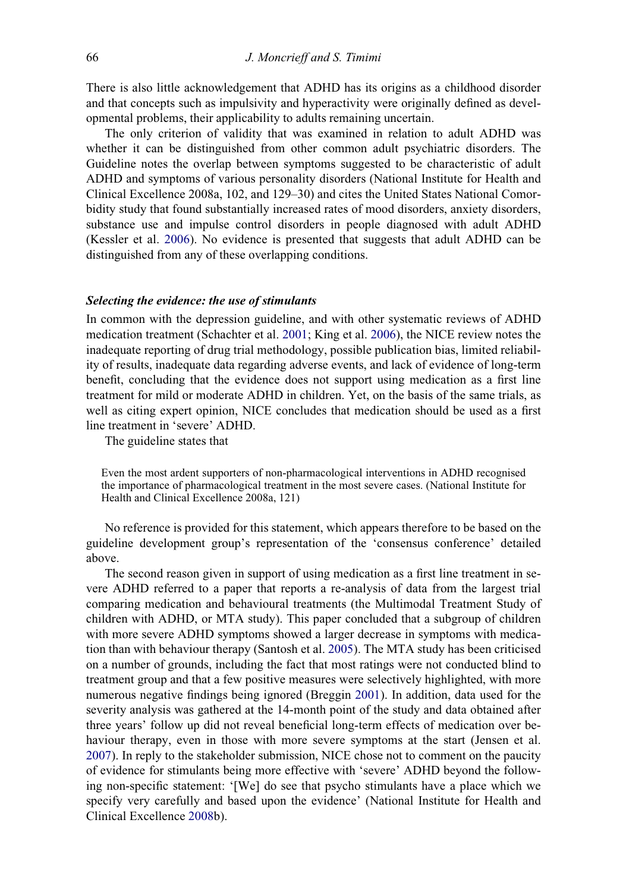There is also little acknowledgement that ADHD has its origins as a childhood disorder and that concepts such as impulsivity and hyperactivity were originally defined as developmental problems, their applicability to adults remaining uncertain.

The only criterion of validity that was examined in relation to adult ADHD was whether it can be distinguished from other common adult psychiatric disorders. The Guideline notes the overlap between symptoms suggested to be characteristic of adult ADHD and symptoms of various personality disorders (National Institute for Health and Clinical Excellence 2008a, 102, and 129–30) and cites the United States National Comorbidity study that found substantially increased rates of mood disorders, anxiety disorders, substance use and impulse control disorders in people diagnosed with adult ADHD (Kessler et al. [2006\)](#page-11-14). No evidence is presented that suggests that adult ADHD can be distinguished from any of these overlapping conditions.

#### Selecting the evidence: the use of stimulants

In common with the depression guideline, and with other systematic reviews of ADHD medication treatment (Schachter et al. [2001;](#page-12-3) King et al. [2006](#page-11-15)), the NICE review notes the inadequate reporting of drug trial methodology, possible publication bias, limited reliability of results, inadequate data regarding adverse events, and lack of evidence of long-term benefit, concluding that the evidence does not support using medication as a first line treatment for mild or moderate ADHD in children. Yet, on the basis of the same trials, as well as citing expert opinion, NICE concludes that medication should be used as a first line treatment in 'severe' ADHD.

The guideline states that

Even the most ardent supporters of non-pharmacological interventions in ADHD recognised the importance of pharmacological treatment in the most severe cases. (National Institute for Health and Clinical Excellence 2008a, 121)

No reference is provided for this statement, which appears therefore to be based on the guideline development group's representation of the 'consensus conference' detailed above.

The second reason given in support of using medication as a first line treatment in severe ADHD referred to a paper that reports a re-analysis of data from the largest trial comparing medication and behavioural treatments (the Multimodal Treatment Study of children with ADHD, or MTA study). This paper concluded that a subgroup of children with more severe ADHD symptoms showed a larger decrease in symptoms with medication than with behaviour therapy (Santosh et al. [2005\)](#page-11-16). The MTA study has been criticised on a number of grounds, including the fact that most ratings were not conducted blind to treatment group and that a few positive measures were selectively highlighted, with more numerous negative findings being ignored (Breggin [2001\)](#page-10-16). In addition, data used for the severity analysis was gathered at the 14-month point of the study and data obtained after three years' follow up did not reveal beneficial long-term effects of medication over behaviour therapy, even in those with more severe symptoms at the start (Jensen et al. [2007\)](#page-10-17). In reply to the stakeholder submission, NICE chose not to comment on the paucity of evidence for stimulants being more effective with 'severe' ADHD beyond the following non-specific statement: '[We] do see that psycho stimulants have a place which we specify very carefully and based upon the evidence' (National Institute for Health and Clinical Excellence [2008b](#page-11-17)).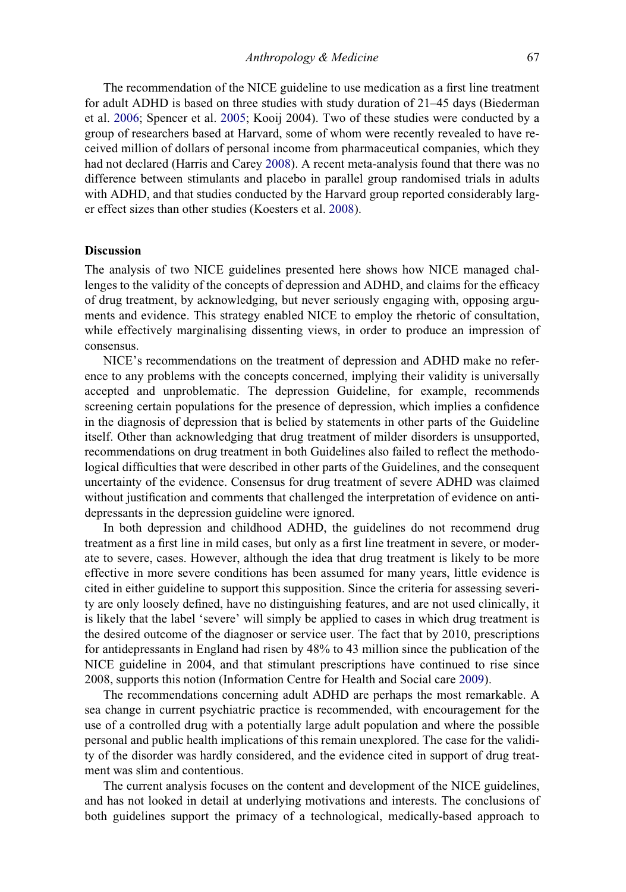The recommendation of the NICE guideline to use medication as a first line treatment for adult ADHD is based on three studies with study duration of 21–45 days (Biederman et al. [2006;](#page-10-18) Spencer et al. [2005;](#page-12-4) Kooij 2004). Two of these studies were conducted by a group of researchers based at Harvard, some of whom were recently revealed to have received million of dollars of personal income from pharmaceutical companies, which they had not declared (Harris and Carey [2008](#page-10-19)). A recent meta-analysis found that there was no difference between stimulants and placebo in parallel group randomised trials in adults with ADHD, and that studies conducted by the Harvard group reported considerably larger effect sizes than other studies (Koesters et al. [2008](#page-11-18)).

### Discussion

The analysis of two NICE guidelines presented here shows how NICE managed challenges to the validity of the concepts of depression and ADHD, and claims for the efficacy of drug treatment, by acknowledging, but never seriously engaging with, opposing arguments and evidence. This strategy enabled NICE to employ the rhetoric of consultation, while effectively marginalising dissenting views, in order to produce an impression of consensus.

NICE's recommendations on the treatment of depression and ADHD make no reference to any problems with the concepts concerned, implying their validity is universally accepted and unproblematic. The depression Guideline, for example, recommends screening certain populations for the presence of depression, which implies a confidence in the diagnosis of depression that is belied by statements in other parts of the Guideline itself. Other than acknowledging that drug treatment of milder disorders is unsupported, recommendations on drug treatment in both Guidelines also failed to reflect the methodological difficulties that were described in other parts of the Guidelines, and the consequent uncertainty of the evidence. Consensus for drug treatment of severe ADHD was claimed without justification and comments that challenged the interpretation of evidence on antidepressants in the depression guideline were ignored.

In both depression and childhood ADHD, the guidelines do not recommend drug treatment as a first line in mild cases, but only as a first line treatment in severe, or moderate to severe, cases. However, although the idea that drug treatment is likely to be more effective in more severe conditions has been assumed for many years, little evidence is cited in either guideline to support this supposition. Since the criteria for assessing severity are only loosely defined, have no distinguishing features, and are not used clinically, it is likely that the label 'severe' will simply be applied to cases in which drug treatment is the desired outcome of the diagnoser or service user. The fact that by 2010, prescriptions for antidepressants in England had risen by 48% to 43 million since the publication of the NICE guideline in 2004, and that stimulant prescriptions have continued to rise since 2008, supports this notion (Information Centre for Health and Social care [2009\)](#page-10-20).

The recommendations concerning adult ADHD are perhaps the most remarkable. A sea change in current psychiatric practice is recommended, with encouragement for the use of a controlled drug with a potentially large adult population and where the possible personal and public health implications of this remain unexplored. The case for the validity of the disorder was hardly considered, and the evidence cited in support of drug treatment was slim and contentious.

The current analysis focuses on the content and development of the NICE guidelines, and has not looked in detail at underlying motivations and interests. The conclusions of both guidelines support the primacy of a technological, medically-based approach to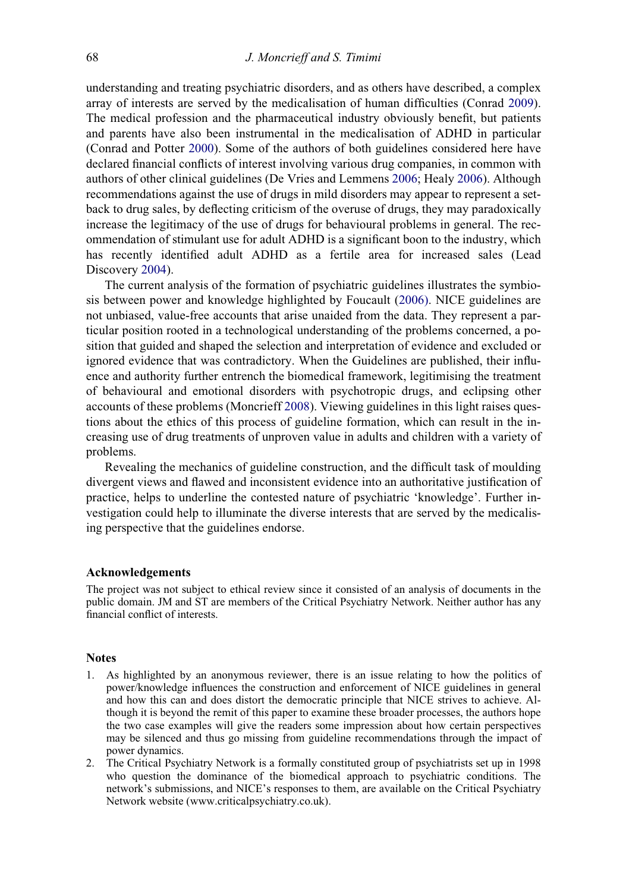understanding and treating psychiatric disorders, and as others have described, a complex array of interests are served by the medicalisation of human difficulties (Conrad [2009\)](#page-10-21). The medical profession and the pharmaceutical industry obviously benefit, but patients and parents have also been instrumental in the medicalisation of ADHD in particular (Conrad and Potter [2000\)](#page-10-22). Some of the authors of both guidelines considered here have declared financial conflicts of interest involving various drug companies, in common with authors of other clinical guidelines (De Vries and Lemmens [2006](#page-10-23); Healy [2006\)](#page-10-24). Although recommendations against the use of drugs in mild disorders may appear to represent a setback to drug sales, by deflecting criticism of the overuse of drugs, they may paradoxically increase the legitimacy of the use of drugs for behavioural problems in general. The recommendation of stimulant use for adult ADHD is a significant boon to the industry, which has recently identified adult ADHD as a fertile area for increased sales (Lead Discovery [2004](#page-11-19)).

The current analysis of the formation of psychiatric guidelines illustrates the symbiosis between power and knowledge highlighted by Foucault [\(2006\).](#page-10-5) NICE guidelines are not unbiased, value-free accounts that arise unaided from the data. They represent a particular position rooted in a technological understanding of the problems concerned, a position that guided and shaped the selection and interpretation of evidence and excluded or ignored evidence that was contradictory. When the Guidelines are published, their influence and authority further entrench the biomedical framework, legitimising the treatment of behavioural and emotional disorders with psychotropic drugs, and eclipsing other accounts of these problems (Moncrieff [2008](#page-11-20)). Viewing guidelines in this light raises questions about the ethics of this process of guideline formation, which can result in the increasing use of drug treatments of unproven value in adults and children with a variety of problems.

Revealing the mechanics of guideline construction, and the difficult task of moulding divergent views and flawed and inconsistent evidence into an authoritative justification of practice, helps to underline the contested nature of psychiatric 'knowledge'. Further investigation could help to illuminate the diverse interests that are served by the medicalising perspective that the guidelines endorse.

### Acknowledgements

The project was not subject to ethical review since it consisted of an analysis of documents in the public domain. JM and ST are members of the Critical Psychiatry Network. Neither author has any financial conflict of interests.

#### **Notes**

- <span id="page-9-0"></span>1. As highlighted by an anonymous reviewer, there is an issue relating to how the politics of power/knowledge influences the construction and enforcement of NICE guidelines in general and how this can and does distort the democratic principle that NICE strives to achieve. Although it is beyond the remit of this paper to examine these broader processes, the authors hope the two case examples will give the readers some impression about how certain perspectives may be silenced and thus go missing from guideline recommendations through the impact of power dynamics.
- <span id="page-9-1"></span>2. The Critical Psychiatry Network is a formally constituted group of psychiatrists set up in 1998 who question the dominance of the biomedical approach to psychiatric conditions. The network's submissions, and NICE's responses to them, are available on the Critical Psychiatry Network website (www.criticalpsychiatry.co.uk).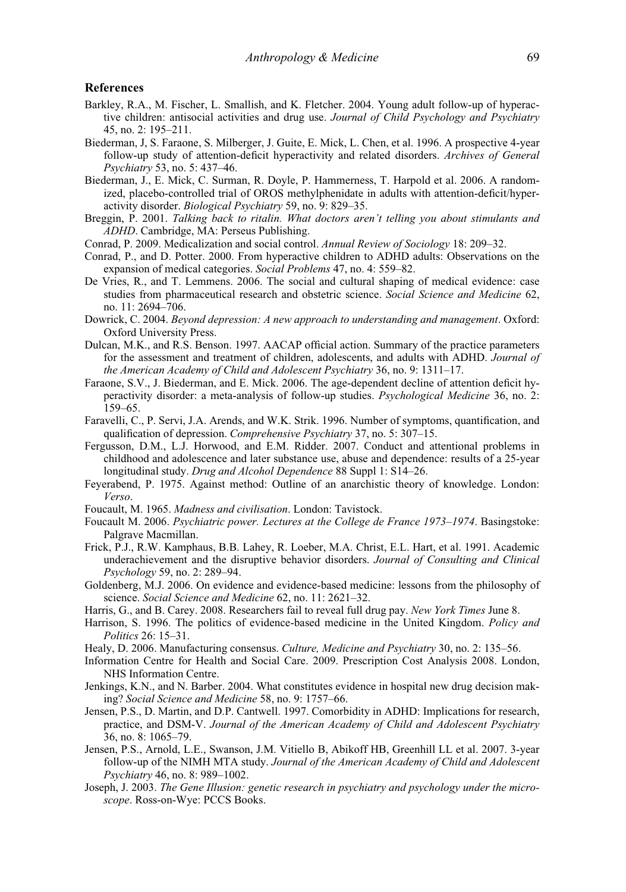#### References

- <span id="page-10-11"></span>Barkley, R.A., M. Fischer, L. Smallish, and K. Fletcher. 2004. Young adult follow-up of hyperactive children: antisocial activities and drug use. Journal of Child Psychology and Psychiatry 45, no. 2: 195–211.
- <span id="page-10-13"></span>Biederman, J, S. Faraone, S. Milberger, J. Guite, E. Mick, L. Chen, et al. 1996. A prospective 4-year follow-up study of attention-deficit hyperactivity and related disorders. Archives of General Psychiatry 53, no. 5: 437–46.
- <span id="page-10-18"></span>Biederman, J., E. Mick, C. Surman, R. Doyle, P. Hammerness, T. Harpold et al. 2006. A randomized, placebo-controlled trial of OROS methylphenidate in adults with attention-deficit/hyperactivity disorder. Biological Psychiatry 59, no. 9: 829–35.
- <span id="page-10-16"></span>Breggin, P. 2001. Talking back to ritalin. What doctors aren't telling you about stimulants and ADHD. Cambridge, MA: Perseus Publishing.
- <span id="page-10-21"></span>Conrad, P. 2009. Medicalization and social control. Annual Review of Sociology 18: 209–32.
- <span id="page-10-22"></span>Conrad, P., and D. Potter. 2000. From hyperactive children to ADHD adults: Observations on the expansion of medical categories. Social Problems 47, no. 4: 559–82.
- <span id="page-10-23"></span>De Vries, R., and T. Lemmens. 2006. The social and cultural shaping of medical evidence: case studies from pharmaceutical research and obstetric science. Social Science and Medicine 62, no. 11: 2694–706.
- <span id="page-10-6"></span>Dowrick, C. 2004. Beyond depression: A new approach to understanding and management. Oxford: Oxford University Press.
- <span id="page-10-9"></span>Dulcan, M.K., and R.S. Benson. 1997. AACAP official action. Summary of the practice parameters for the assessment and treatment of children, adolescents, and adults with ADHD. Journal of the American Academy of Child and Adolescent Psychiatry 36, no. 9: 1311–17.
- <span id="page-10-15"></span>Faraone, S.V., J. Biederman, and E. Mick. 2006. The age-dependent decline of attention deficit hyperactivity disorder: a meta-analysis of follow-up studies. Psychological Medicine 36, no. 2: 159–65.
- <span id="page-10-7"></span>Faravelli, C., P. Servi, J.A. Arends, and W.K. Strik. 1996. Number of symptoms, quantification, and qualification of depression. Comprehensive Psychiatry 37, no. 5: 307–15.
- <span id="page-10-12"></span>Fergusson, D.M., L.J. Horwood, and E.M. Ridder. 2007. Conduct and attentional problems in childhood and adolescence and later substance use, abuse and dependence: results of a 25-year longitudinal study. Drug and Alcohol Dependence 88 Suppl 1: S14–26.
- <span id="page-10-3"></span>Feyerabend, P. 1975. Against method: Outline of an anarchistic theory of knowledge. London: Verso.
- <span id="page-10-4"></span>Foucault, M. 1965. Madness and civilisation. London: Tavistock.
- <span id="page-10-5"></span>Foucault M. 2006. Psychiatric power. Lectures at the College de France 1973–1974. Basingstoke: Palgrave Macmillan.
- <span id="page-10-10"></span>Frick, P.J., R.W. Kamphaus, B.B. Lahey, R. Loeber, M.A. Christ, E.L. Hart, et al. 1991. Academic underachievement and the disruptive behavior disorders. Journal of Consulting and Clinical Psychology 59, no. 2: 289–94.
- <span id="page-10-1"></span>Goldenberg, M.J. 2006. On evidence and evidence-based medicine: lessons from the philosophy of science. Social Science and Medicine 62, no. 11: 2621–32.
- <span id="page-10-19"></span>Harris, G., and B. Carey. 2008. Researchers fail to reveal full drug pay. New York Times June 8.
- <span id="page-10-0"></span>Harrison, S. 1996. The politics of evidence-based medicine in the United Kingdom. Policy and Politics 26: 15–31.
- <span id="page-10-24"></span><span id="page-10-20"></span>Healy, D. 2006. Manufacturing consensus. Culture, Medicine and Psychiatry 30, no. 2: 135–56.
- Information Centre for Health and Social Care. 2009. Prescription Cost Analysis 2008. London, NHS Information Centre.
- <span id="page-10-2"></span>Jenkings, K.N., and N. Barber. 2004. What constitutes evidence in hospital new drug decision making? Social Science and Medicine 58, no. 9: 1757–66.
- <span id="page-10-8"></span>Jensen, P.S., D. Martin, and D.P. Cantwell. 1997. Comorbidity in ADHD: Implications for research, practice, and DSM-V. Journal of the American Academy of Child and Adolescent Psychiatry 36, no. 8: 1065–79.
- <span id="page-10-17"></span>Jensen, P.S., Arnold, L.E., Swanson, J.M. Vitiello B, Abikoff HB, Greenhill LL et al. 2007. 3-year follow-up of the NIMH MTA study. Journal of the American Academy of Child and Adolescent Psychiatry 46, no. 8: 989–1002.
- <span id="page-10-14"></span>Joseph, J. 2003. The Gene Illusion: genetic research in psychiatry and psychology under the microscope. Ross-on-Wye: PCCS Books.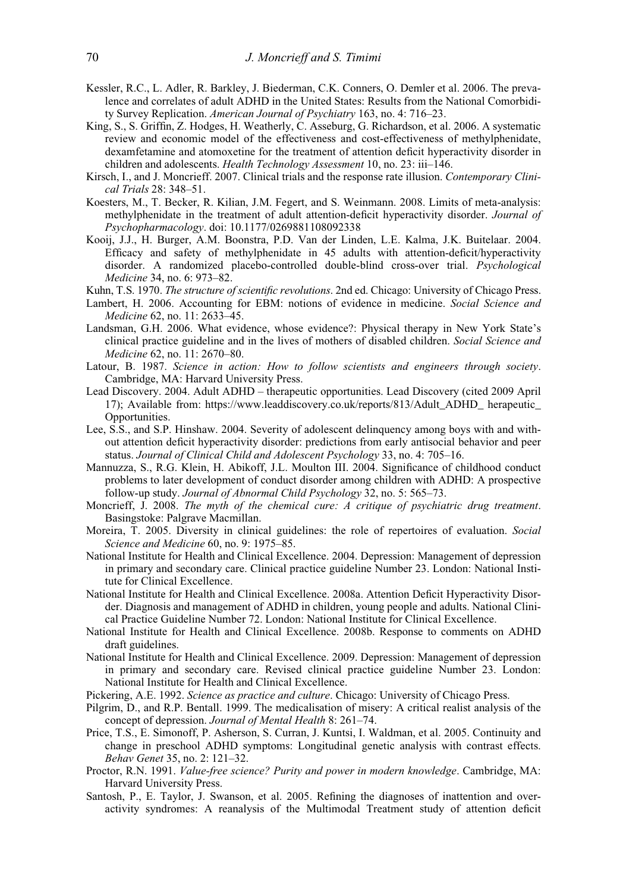- <span id="page-11-14"></span>Kessler, R.C., L. Adler, R. Barkley, J. Biederman, C.K. Conners, O. Demler et al. 2006. The prevalence and correlates of adult ADHD in the United States: Results from the National Comorbidity Survey Replication. American Journal of Psychiatry 163, no. 4: 716–23.
- <span id="page-11-15"></span>King, S., S. Griffin, Z. Hodges, H. Weatherly, C. Asseburg, G. Richardson, et al. 2006. A systematic review and economic model of the effectiveness and cost-effectiveness of methylphenidate, dexamfetamine and atomoxetine for the treatment of attention deficit hyperactivity disorder in children and adolescents. Health Technology Assessment 10, no. 23: iii-146.
- <span id="page-11-11"></span>Kirsch, I., and J. Moncrieff. 2007. Clinical trials and the response rate illusion. Contemporary Clinical Trials 28: 348–51.
- <span id="page-11-18"></span>Koesters, M., T. Becker, R. Kilian, J.M. Fegert, and S. Weinmann. 2008. Limits of meta-analysis: methylphenidate in the treatment of adult attention-deficit hyperactivity disorder. Journal of Psychopharmacology. doi: 10.1177/0269881108092338
- Kooij, J.J., H. Burger, A.M. Boonstra, P.D. Van der Linden, L.E. Kalma, J.K. Buitelaar. 2004. Efficacy and safety of methylphenidate in 45 adults with attention-deficit/hyperactivity disorder. A randomized placebo-controlled double-blind cross-over trial. Psychological Medicine 34, no. 6: 973–82.
- <span id="page-11-6"></span>Kuhn, T.S. 1970. The structure of scientific revolutions. 2nd ed. Chicago: University of Chicago Press.
- <span id="page-11-4"></span>Lambert, H. 2006. Accounting for EBM: notions of evidence in medicine. Social Science and Medicine 62, no. 11: 2633–45.
- <span id="page-11-5"></span>Landsman, G.H. 2006. What evidence, whose evidence?: Physical therapy in New York State's clinical practice guideline and in the lives of mothers of disabled children. Social Science and Medicine 62, no. 11: 2670–80.
- <span id="page-11-8"></span>Latour, B. 1987. Science in action: How to follow scientists and engineers through society. Cambridge, MA: Harvard University Press.
- <span id="page-11-19"></span>Lead Discovery. 2004. Adult ADHD – therapeutic opportunities. Lead Discovery (cited 2009 April 17); Available from: [https://www.leaddiscovery.co.uk/reports/813/Adult\\_ADHD\\_ herapeutic\\_](https://www.leaddiscovery.co.uk/reports/813/Adult_ADHD_Therapeutic_Opportunities) [Opportunities.](https://www.leaddiscovery.co.uk/reports/813/Adult_ADHD_Therapeutic_Opportunities)
- <span id="page-11-12"></span>Lee, S.S., and S.P. Hinshaw. 2004. Severity of adolescent delinquency among boys with and without attention deficit hyperactivity disorder: predictions from early antisocial behavior and peer status. Journal of Clinical Child and Adolescent Psychology 33, no. 4: 705–16.
- Mannuzza, S., R.G. Klein, H. Abikoff, J.L. Moulton III. 2004. Significance of childhood conduct problems to later development of conduct disorder among children with ADHD: A prospective follow-up study. Journal of Abnormal Child Psychology 32, no. 5: 565–73.
- <span id="page-11-20"></span>Moncrieff, J. 2008. The myth of the chemical cure: A critique of psychiatric drug treatment. Basingstoke: Palgrave Macmillan.
- <span id="page-11-3"></span>Moreira, T. 2005. Diversity in clinical guidelines: the role of repertoires of evaluation. Social Science and Medicine 60, no. 9: 1975–85.
- <span id="page-11-0"></span>National Institute for Health and Clinical Excellence. 2004. Depression: Management of depression in primary and secondary care. Clinical practice guideline Number 23. London: National Institute for Clinical Excellence.
- <span id="page-11-2"></span>National Institute for Health and Clinical Excellence. 2008a. Attention Deficit Hyperactivity Disorder. Diagnosis and management of ADHD in children, young people and adults. National Clinical Practice Guideline Number 72. London: National Institute for Clinical Excellence.
- <span id="page-11-17"></span>National Institute for Health and Clinical Excellence. 2008b. Response to comments on ADHD draft guidelines.
- <span id="page-11-1"></span>National Institute for Health and Clinical Excellence. 2009. Depression: Management of depression in primary and secondary care. Revised clinical practice guideline Number 23. London: National Institute for Health and Clinical Excellence.
- <span id="page-11-7"></span>Pickering, A.E. 1992. Science as practice and culture. Chicago: University of Chicago Press.
- <span id="page-11-10"></span>Pilgrim, D., and R.P. Bentall. 1999. The medicalisation of misery: A critical realist analysis of the concept of depression. Journal of Mental Health 8: 261–74.
- <span id="page-11-13"></span>Price, T.S., E. Simonoff, P. Asherson, S. Curran, J. Kuntsi, I. Waldman, et al. 2005. Continuity and change in preschool ADHD symptoms: Longitudinal genetic analysis with contrast effects. Behav Genet 35, no. 2: 121–32.
- <span id="page-11-9"></span>Proctor, R.N. 1991. Value-free science? Purity and power in modern knowledge. Cambridge, MA: Harvard University Press.
- <span id="page-11-16"></span>Santosh, P., E. Taylor, J. Swanson, et al. 2005. Refining the diagnoses of inattention and overactivity syndromes: A reanalysis of the Multimodal Treatment study of attention deficit